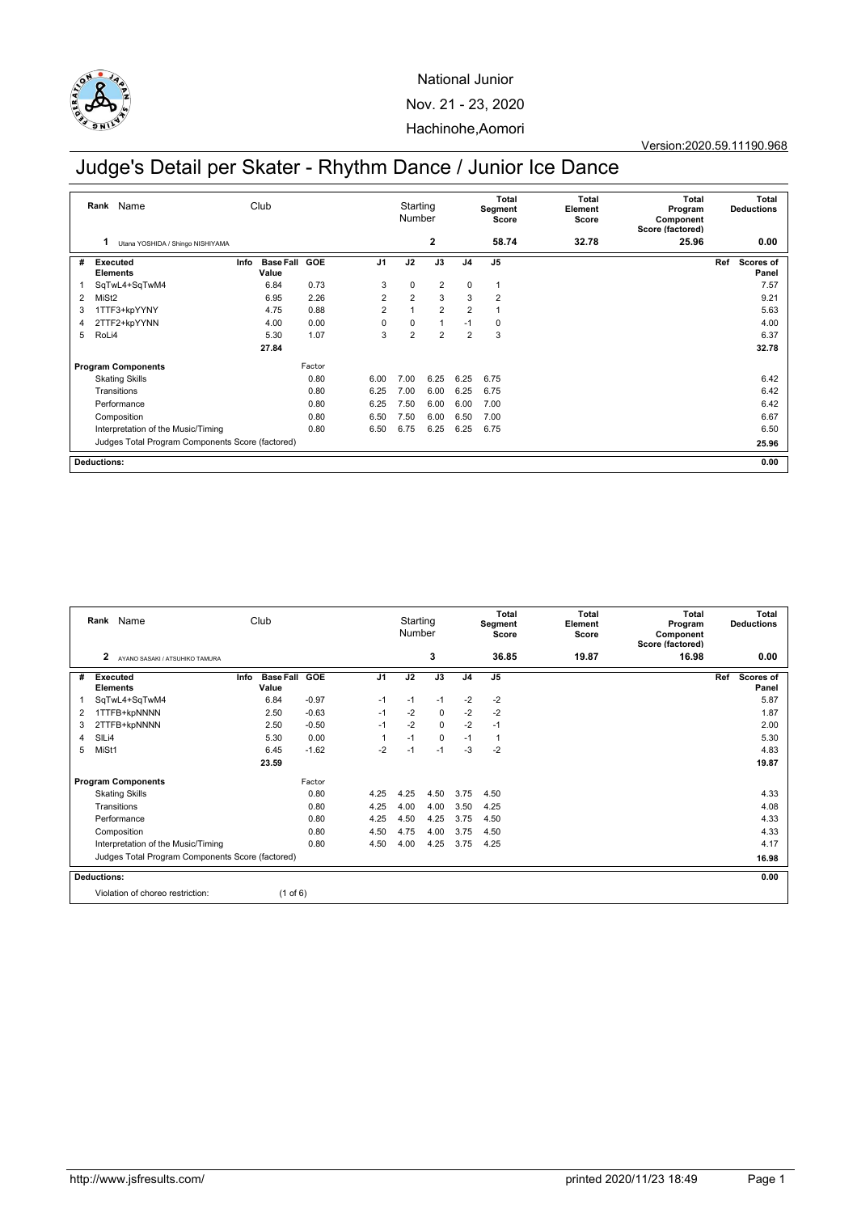

## National Junior Nov. 21 - 23, 2020 Hachinohe,Aomori

### Version:2020.59.11190.968

# Judge's Detail per Skater - Rhythm Dance / Junior Ice Dance

|                                                  | Rank Name                             | Club |                           |            |                | Starting<br>Number |                |                | Total<br>Segment<br>Score | Total<br>Element<br>Score | Total<br>Program<br>Component<br>Score (factored) | Total<br><b>Deductions</b> |
|--------------------------------------------------|---------------------------------------|------|---------------------------|------------|----------------|--------------------|----------------|----------------|---------------------------|---------------------------|---------------------------------------------------|----------------------------|
|                                                  | 1<br>Utana YOSHIDA / Shingo NISHIYAMA |      |                           |            |                |                    | $\mathbf{2}$   |                | 58.74                     | 32.78                     | 25.96                                             | 0.00                       |
| #                                                | <b>Executed</b><br><b>Elements</b>    | Info | <b>Base Fall</b><br>Value | <b>GOE</b> | J <sub>1</sub> | J2                 | J3             | J <sub>4</sub> | J <sub>5</sub>            |                           |                                                   | Ref<br>Scores of<br>Panel  |
|                                                  | SqTwL4+SqTwM4                         |      | 6.84                      | 0.73       | 3              | $\mathbf 0$        | $\overline{2}$ | $\mathbf 0$    | $\mathbf{1}$              |                           |                                                   | 7.57                       |
| 2                                                | MiSt <sub>2</sub>                     |      | 6.95                      | 2.26       | 2              | $\overline{2}$     | 3              | 3              | $\overline{2}$            |                           |                                                   | 9.21                       |
| 3                                                | 1TTF3+kpYYNY                          |      | 4.75                      | 0.88       | $\overline{2}$ |                    | $\overline{2}$ | $\overline{2}$ | 1                         |                           |                                                   | 5.63                       |
| 4                                                | 2TTF2+kpYYNN                          |      | 4.00                      | 0.00       | 0              | 0                  |                | $-1$           | 0                         |                           |                                                   | 4.00                       |
| 5                                                | RoLi4                                 |      | 5.30                      | 1.07       | 3              | $\overline{2}$     | 2              | $\overline{2}$ | 3                         |                           |                                                   | 6.37                       |
|                                                  |                                       |      | 27.84                     |            |                |                    |                |                |                           |                           |                                                   | 32.78                      |
| <b>Program Components</b>                        |                                       |      | Factor                    |            |                |                    |                |                |                           |                           |                                                   |                            |
|                                                  | <b>Skating Skills</b>                 |      |                           | 0.80       | 6.00           | 7.00               | 6.25           | 6.25           | 6.75                      |                           |                                                   | 6.42                       |
|                                                  | Transitions                           |      |                           | 0.80       | 6.25           | 7.00               | 6.00           | 6.25           | 6.75                      |                           |                                                   | 6.42                       |
|                                                  | Performance                           |      |                           | 0.80       | 6.25           | 7.50               | 6.00           | 6.00           | 7.00                      |                           |                                                   | 6.42                       |
|                                                  | Composition                           |      |                           | 0.80       | 6.50           | 7.50               | 6.00           | 6.50           | 7.00                      |                           |                                                   | 6.67                       |
|                                                  | Interpretation of the Music/Timing    |      |                           | 0.80       | 6.50           | 6.75               | 6.25           | 6.25           | 6.75                      |                           |                                                   | 6.50                       |
| Judges Total Program Components Score (factored) |                                       |      |                           |            |                |                    |                |                |                           |                           |                                                   | 25.96                      |
| <b>Deductions:</b>                               |                                       |      |                           |            |                |                    |                |                |                           |                           |                                                   | 0.00                       |

| Rank                                |       | Name                                             | Club |                           |            |                | Starting<br>Number |             |                | <b>Total</b><br>Segment<br>Score | Total<br>Element<br>Score | <b>Total</b><br>Program<br>Component<br>Score (factored) | <b>Total</b><br><b>Deductions</b> |                    |
|-------------------------------------|-------|--------------------------------------------------|------|---------------------------|------------|----------------|--------------------|-------------|----------------|----------------------------------|---------------------------|----------------------------------------------------------|-----------------------------------|--------------------|
|                                     | 2     | AYANO SASAKI / ATSUHIKO TAMURA                   |      |                           |            |                |                    | 3           |                | 36.85                            | 19.87                     | 16.98                                                    |                                   | 0.00               |
| #                                   |       | Executed<br><b>Elements</b>                      | Info | <b>Base Fall</b><br>Value | <b>GOE</b> | J <sub>1</sub> | J2                 | J3          | J <sub>4</sub> | J <sub>5</sub>                   |                           |                                                          | Ref                               | Scores of<br>Panel |
|                                     |       | SqTwL4+SqTwM4                                    |      | 6.84                      | $-0.97$    | $-1$           | $-1$               | $-1$        | $-2$           | $-2$                             |                           |                                                          |                                   | 5.87               |
| 2                                   |       | 1TTFB+kpNNNN                                     |      | 2.50                      | $-0.63$    | $-1$           | $-2$               | $\mathbf 0$ | $-2$           | $-2$                             |                           |                                                          |                                   | 1.87               |
| 3                                   |       | 2TTFB+kpNNNN                                     |      | 2.50                      | $-0.50$    | $-1$           | $-2$               | $\mathbf 0$ | $-2$           | $-1$                             |                           |                                                          |                                   | 2.00               |
| 4                                   | SILi4 |                                                  |      | 5.30                      | 0.00       |                | $-1$               | $\mathbf 0$ | $-1$           | $\mathbf{1}$                     |                           |                                                          |                                   | 5.30               |
| 5                                   | MiSt1 |                                                  |      | 6.45                      | $-1.62$    | $-2$           | $-1$               | $-1$        | $-3$           | $-2$                             |                           |                                                          |                                   | 4.83               |
|                                     |       |                                                  |      | 23.59                     |            |                |                    |             |                |                                  |                           |                                                          |                                   | 19.87              |
| Factor<br><b>Program Components</b> |       |                                                  |      |                           |            |                |                    |             |                |                                  |                           |                                                          |                                   |                    |
|                                     |       | <b>Skating Skills</b>                            |      |                           | 0.80       | 4.25           | 4.25               | 4.50        | 3.75           | 4.50                             |                           |                                                          |                                   | 4.33               |
|                                     |       | Transitions                                      |      |                           | 0.80       | 4.25           | 4.00               | 4.00        | 3.50           | 4.25                             |                           |                                                          |                                   | 4.08               |
|                                     |       | Performance                                      |      |                           | 0.80       | 4.25           | 4.50               | 4.25        | 3.75           | 4.50                             |                           |                                                          |                                   | 4.33               |
|                                     |       | Composition                                      |      |                           | 0.80       | 4.50           | 4.75               | 4.00        | 3.75           | 4.50                             |                           |                                                          |                                   | 4.33               |
|                                     |       | Interpretation of the Music/Timing               |      |                           | 0.80       | 4.50           | 4.00               | 4.25        | 3.75           | 4.25                             |                           |                                                          |                                   | 4.17               |
|                                     |       | Judges Total Program Components Score (factored) |      |                           |            |                |                    |             |                |                                  |                           |                                                          |                                   | 16.98              |
| <b>Deductions:</b>                  |       |                                                  |      |                           |            |                |                    |             |                |                                  |                           |                                                          | 0.00                              |                    |
|                                     |       | Violation of choreo restriction:                 |      | $(1 \text{ of } 6)$       |            |                |                    |             |                |                                  |                           |                                                          |                                   |                    |